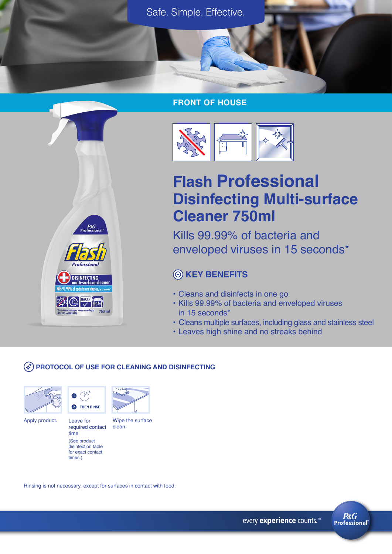

#### **FRONT OF HOUSE**



# **Flash Professional Disinfecting Multi-surface Cleaner 750ml**

Kills 99.99% of bacteria and enveloped viruses in 15 seconds\*

# **KEY BENEFITS**

- Cleans and disinfects in one go
- Kills 99.99% of bacteria and enveloped viruses in 15 seconds\*
- Cleans multiple surfaces, including glass and stainless steel
- Leaves high shine and no streaks behind

## **PROTOCOL OF USE FOR CLEANING AND DISINFECTING**





Apply product. Leave for Wipe the surface

required contact clean.

time (See product disinfection table for exact contact times.)

 $P\&G$ 

*<u>Professiona</u>* 

DISINFECTING<br>multi-surface cle

750 ml

**EXP ON THE REAL** 

Leave for

Ω

Rinsing is not necessary, except for surfaces in contact with food.

every experience counts.<sup>™</sup>